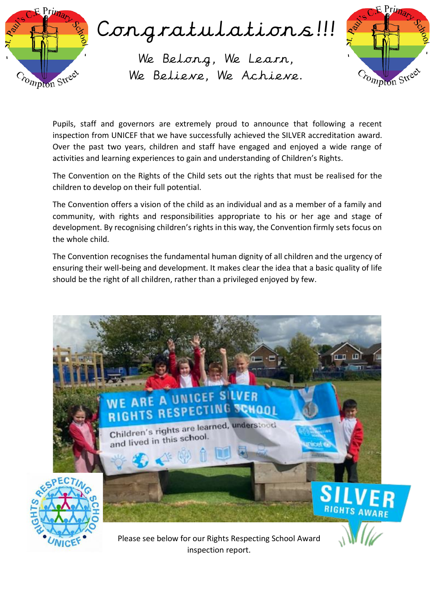



Pupils, staff and governors are extremely proud to announce that following a recent inspection from UNICEF that we have successfully achieved the SILVER accreditation award. Over the past two years, children and staff have engaged and enjoyed a wide range of activities and learning experiences to gain and understanding of Children's Rights.

The Convention on the Rights of the Child sets out the rights that must be realised for the children to develop on their full potential.

The Convention offers a vision of the child as an individual and as a member of a family and community, with rights and responsibilities appropriate to his or her age and stage of development. By recognising children's rights in this way, the Convention firmly sets focus on the whole child.

The Convention recognises the fundamental human dignity of all children and the urgency of ensuring their well-being and development. It makes clear the idea that a basic quality of life should be the right of all children, rather than a privileged enjoyed by few.

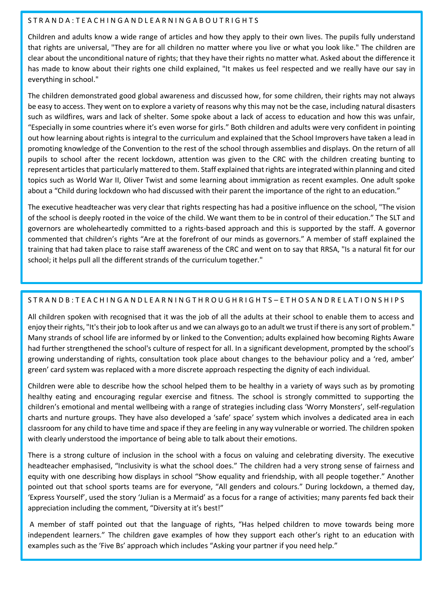## STRANDA: TEACHINGANDLEARNINGABOUTRIGHTS

Children and adults know a wide range of articles and how they apply to their own lives. The pupils fully understand that rights are universal, "They are for all children no matter where you live or what you look like." The children are clear about the unconditional nature of rights; that they have their rights no matter what. Asked about the difference it has made to know about their rights one child explained, "It makes us feel respected and we really have our say in everything in school."

The children demonstrated good global awareness and discussed how, for some children, their rights may not always be easy to access. They went on to explore a variety of reasons why this may not be the case, including natural disasters such as wildfires, wars and lack of shelter. Some spoke about a lack of access to education and how this was unfair, "Especially in some countries where it's even worse for girls." Both children and adults were very confident in pointing out how learning about rights is integral to the curriculum and explained that the School Improvers have taken a lead in promoting knowledge of the Convention to the rest of the school through assemblies and displays. On the return of all pupils to school after the recent lockdown, attention was given to the CRC with the children creating bunting to represent articles that particularly mattered to them. Staff explained that rights are integrated within planning and cited topics such as World War II, Oliver Twist and some learning about immigration as recent examples. One adult spoke about a "Child during lockdown who had discussed with their parent the importance of the right to an education."

The executive headteacher was very clear that rights respecting has had a positive influence on the school, "The vision of the school is deeply rooted in the voice of the child. We want them to be in control of their education." The SLT and governors are wholeheartedly committed to a rights-based approach and this is supported by the staff. A governor commented that children's rights "Are at the forefront of our minds as governors." A member of staff explained the training that had taken place to raise staff awareness of the CRC and went on to say that RRSA, "Is a natural fit for our school; it helps pull all the different strands of the curriculum together."

## S T R A N D B : T E A C H I N G A N D L E A R N I N G T H R O U G H R I G H T S – E T H O S A N D R E L A T I O N S H I P S

All children spoken with recognised that it was the job of all the adults at their school to enable them to access and enjoy their rights, "It's their job to look after us and we can always go to an adult we trust if there is any sort of problem." Many strands of school life are informed by or linked to the Convention; adults explained how becoming Rights Aware had further strengthened the school's culture of respect for all. In a significant development, prompted by the school's growing understanding of rights, consultation took place about changes to the behaviour policy and a 'red, amber' green' card system was replaced with a more discrete approach respecting the dignity of each individual.

Children were able to describe how the school helped them to be healthy in a variety of ways such as by promoting healthy eating and encouraging regular exercise and fitness. The school is strongly committed to supporting the children's emotional and mental wellbeing with a range of strategies including class 'Worry Monsters', self-regulation charts and nurture groups. They have also developed a 'safe' space' system which involves a dedicated area in each classroom for any child to have time and space if they are feeling in any way vulnerable or worried. The children spoken with clearly understood the importance of being able to talk about their emotions.

There is a strong culture of inclusion in the school with a focus on valuing and celebrating diversity. The executive headteacher emphasised, "Inclusivity is what the school does." The children had a very strong sense of fairness and equity with one describing how displays in school "Show equality and friendship, with all people together." Another pointed out that school sports teams are for everyone, "All genders and colours." During lockdown, a themed day, 'Express Yourself', used the story 'Julian is a Mermaid' as a focus for a range of activities; many parents fed back their appreciation including the comment, "Diversity at it's best!"

A member of staff pointed out that the language of rights, "Has helped children to move towards being more independent learners." The children gave examples of how they support each other's right to an education with examples such as the 'Five Bs' approach which includes "Asking your partner if you need help."